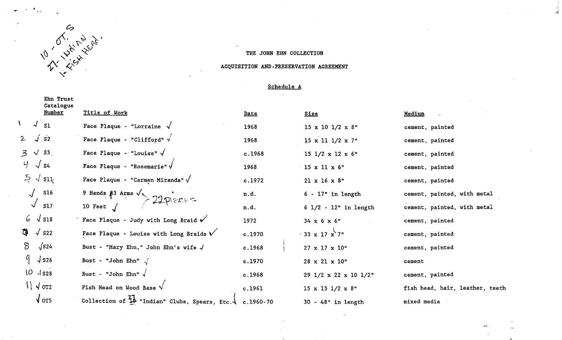

4

### THE JOHN EHN COLLECTION

 $\begin{array}{c} A \\ \mathfrak{p} \end{array}$ 

### ACQUISITION AND PRESERVATION AGREEMENT

# Schedule A

|                                  | Ehn Trust<br>Catalogue<br>Number | Title of Work                                             | Date          | <b>Size</b>                          | Medium                          |
|----------------------------------|----------------------------------|-----------------------------------------------------------|---------------|--------------------------------------|---------------------------------|
| $\sqrt{S_1}$                     |                                  | Face Plaque - "Lorraine $\sqrt$                           |               |                                      |                                 |
|                                  |                                  |                                                           | 1968          | $15 \times 10$ $1/2 \times 8$ "      | cement, painted                 |
| $\overline{S2}$<br>$2 \sqrt{2}$  |                                  | Face Plaque - "Clifford" $\sqrt{}$                        | 1968          | $15 \times 11$ $1/2 \times 7$ "      | cement, painted                 |
| $3 \sqrt{3}$                     |                                  | Face Plaque - "Louise" $\sqrt$                            | c.1968        | $15$ 1/2 x 12 x 6"                   | cement, painted                 |
| 부<br>$\sqrt{S4}$                 |                                  | Face Plaque - "Rosemarie" $\sqrt{}$                       | 1968          | $15 \times 11 \times 6$ "            | cement, painted                 |
| $5 \sqrt{311}$                   |                                  | Face Plaque - "Carmen Miranda" $\sqrt{ }$                 | c.1972        | $21 \times 16 \times 8$ "            | cement, painted                 |
| <b>S16</b>                       |                                  | 9 Hands $\beta$ 3 Arms $\sqrt{22}$ Pierres                | n.d.          | $6 - 17$ " in length                 | cement, painted, with metal     |
| <b>S17</b>                       |                                  |                                                           | n.d.          | $6$ $1/2$ - $12$ " in length         | cement, painted, with metal     |
| $6\sqrt{518}$                    |                                  | Face Plaque - Judy with Long Braid $\checkmark$           | 1972          | $34 \times 6 \times 6$ "             | cement, painted                 |
| ₩<br>$\sqrt{S22}$                |                                  | Face Plaque - Louise with Long Braids $\check{V}$         | c.1970        | $\cdot$ 33 x 17 x 7"                 | cement, painted                 |
| $\sqrt{524}$<br>$8^-$            |                                  | Bust - "Mary Ehn," John Ehn's wife $\sqrt$                | c.1968        | $27 \times 17 \times 10$ "           | cement, painted                 |
| $9 \sqrt{526}$                   |                                  | Bust - "John Ehn" $\sqrt{ }$                              | c.1970        | 28 x 21 x 10"                        | cement                          |
| $10 \sqrt{s}$ 28                 |                                  | Bust - "John Ehn" $\sqrt{ }$                              | c.1968        | 29 $1/2 \times 22 \times 10$ $1/2$ " | cement, painted                 |
| $\left\{ \right\}$ $\sqrt{$ or 2 |                                  | Fish Head on Wood Base $\sqrt{}$                          | c.1961        | $15 \times 13$ $1/2 \times 8$ "      | fish head, hair, leather, teeth |
| $\sqrt{$ ors                     |                                  | Collection of $\frac{21}{4}$ "Indian" Clubs, Spears, Etc. | $c.1960 - 70$ | 30 - 48" in length                   | mixed media                     |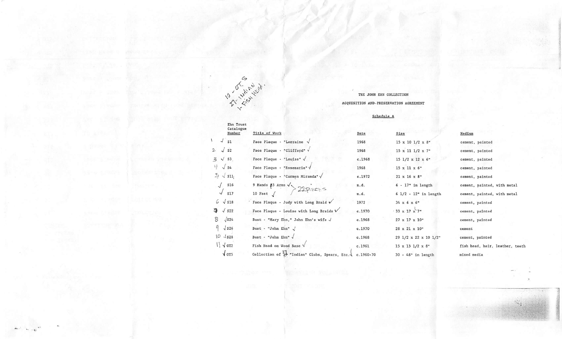

 $\sim$ 

# THE JOHN EHN COLLECTION ACQUISITION AND PRESERVATION AGREEMENT

## Schedule A

 $\label{eq:1} \frac{\partial}{\partial x^2}=\frac{\partial}{\partial y^2}+\frac{\partial}{\partial y^2}+\frac{\partial}{\partial y^2}+\frac{\partial}{\partial y^2}+\frac{\partial}{\partial y^2}+\frac{\partial}{\partial y^2}+\frac{\partial}{\partial y^2}+\frac{\partial}{\partial y^2}+\frac{\partial}{\partial y^2}+\frac{\partial}{\partial y^2}+\frac{\partial}{\partial y^2}+\frac{\partial}{\partial y^2}+\frac{\partial}{\partial y^2}+\frac{\partial}{\partial y^2}+\frac{\partial}{\partial y^2}+\frac{\partial}{\partial y^2}+\frac{\partial}{\partial y^2}+\frac{\partial}{\partial y^2}+\frac{\partial$ 

|                                 | Ehn Trust<br>Catalogue                                             |        |                                 |                                 |
|---------------------------------|--------------------------------------------------------------------|--------|---------------------------------|---------------------------------|
| Number                          | Title of Work                                                      | Date   | Size                            | Medium                          |
| $\sqrt{2}$<br>S1                | Face Plaque - "Lorraine $\sqrt{}$                                  | 1968   | 15 x 10 1/2 x 8"                | cement, painted                 |
| $\overline{S2}$<br>$\mathbf{2}$ | Face Plaque - "Clifford" V                                         | 1968   | 15 x 11 1/2 x 7"                | cement, painted                 |
| $3 \sqrt{53}$                   | Face Plaque - "Louise" $\sqrt{}$                                   | c.1968 | 15 $1/2 \times 12 \times 6$ "   | cement, painted                 |
| 屮<br>$\sqrt{S4}$                | Face Plaque - "Rosemarie" V                                        | 1968   | $15 \times 11 \times 6$ "       | cement, painted                 |
| $5 \sqrt{311}$                  | Face Plaque - "Carmen Miranda" y                                   | c.1972 | $21 \times 16 \times 8$ "       | cement, painted                 |
| $\sqrt{516}$                    | 9 Hands $\beta$ 3 Arms $\searrow$ 22 Piers =                       | n.d.   | $6 - 17"$ in length             | cement, painted, with metal     |
| $\sqrt{317}$                    | 10 Feet $\int$                                                     | n.d.   | $6$ $1/2$ - $12"$ in length     | cement, painted, with metal     |
| $6\sqrt{518}$                   | Face Plaque - Judy with Long Braid $\checkmark$                    | 1972   | $34 \times 6 \times 6$ "        | cement, painted                 |
| $\sqrt{S22}$<br>$\mathbf{a}$    | Face Plaque - Louise with Long Braids $\sqrt{}$                    | c.1970 | $.33 \times 17 \times 7$ "      | cement, painted                 |
| $\sqrt{524}$<br>$8^{\circ}$     | Bust - "Mary Ehn," John Ehn's wife ./                              | c.1968 | 27 x 17 x 10"                   | cement, painted                 |
| q<br>$\sqrt$ S <sub>26</sub>    | Bust - "John Ehn" $\sqrt$                                          | c.1970 | 28 x 21 x 10"                   | cement                          |
| 10<br>$\sqrt$ S28               | Bust - "John Ehn" $\sqrt{}$                                        | c.1968 | 29 1/2 x 22 x 10 1/2"           | cement, painted                 |
| $\left  \right $ $\sqrt{$ or 2  | Fish Head on Wood Base $\sqrt{}$                                   | c.1961 | $15 \times 13$ $1/2 \times 8$ " | fish head, hair, leather, teeth |
| $\sqrt{0}$                      | Collection of $14$ "Indian" Clubs, Spears, Etc. $\sqrt{c.1960-70}$ |        | 30 - 48" in length              | mixed media                     |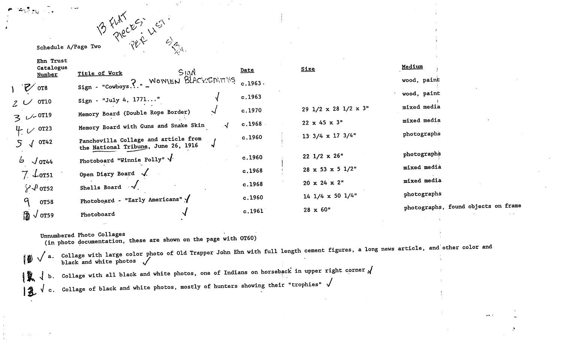# Schedule A/Page Two 'PER '

|                                | Ehn Trust<br>Catalogue |                                                                             |         |                                          | <u>Medium</u>                       |
|--------------------------------|------------------------|-----------------------------------------------------------------------------|---------|------------------------------------------|-------------------------------------|
|                                | Number                 | SIAN<br>Title of Work                                                       | Date    | <b>Size</b>                              |                                     |
| $V$ or 8                       |                        | Sign - "Cowboys. ?. " _ WONIEN BLACKSMITHS                                  | c.1963. |                                          | wood, paint                         |
|                                |                        | Sign - "July 4, $1771$ "                                                    | c.1963  |                                          | wood, paint                         |
| $2 \vee$ or 10                 |                        | Memory Board (Double Rope Border)                                           | c.1970  | 29 $1/2 \times 28$ $1/2 \times 3$ "      | mixed media                         |
| $3 \nu 0^{0119}$               |                        | Memory Board with Guns and Snake Skin                                       | c.1968  | $22 \times 45 \times 3^{n}$              | mixed media                         |
| $4.0$ or 23<br>$5 \sqrt{0142}$ |                        | Panchovilla Collage and article from<br>the National Tribung, June 26, 1916 | c.1960  | $13 \frac{3}{4} \times 17 \frac{3}{4}$ " | photographs                         |
| 6<br>$\sqrt{0T44}$             |                        | Photoboard "Winnie Polly" $\sqrt{ }$ .                                      | c.1960  | $22 \frac{1}{2} \times 26$               | photographs                         |
| $7 \downarrow$ ors1            |                        | Open Diary Board $\sqrt{ }$ .                                               | c.1968  | $28 \times 53 \times 5$ 1/2"             | mixed media                         |
| $\frac{1}{6}$ $\sqrt{l}$ or 52 |                        | Shells Board V                                                              | c.1968  | $20 \times 24 \times 2^{n}$              | mixed media                         |
| q                              | <b>OT58</b>            | Photoboard - "Early Americans"                                              | c.1960  | $14$ $1/4$ x 50 $1/4$ <sup>"</sup>       | photographs                         |
| $\frac{5}{10}$ $\sqrt{0}$ 0T59 |                        | Photoboard                                                                  | c.1961  | $28 \times 60$ "                         | photographs, found objects on frame |
|                                |                        |                                                                             |         |                                          |                                     |

Unnumbered Photo Collages

(in photo documentation, these are shown on the page with 0T60)

 $\ket{\emptyset}$  . Collage with large color photo of Old Trapper John Ehn with full length cement figures, a long news article, and other color and<br>black and white photos  $\sqrt$ 

 $\mathbf{a} \bullet \mathbf{b}$ 

 $14$  b. Collage with all black and white photos, one of Indians on horseback in upper right corner  $\sqrt{2}$  d. Collage of black and white photos, mostly of hunters showing their "trophies"  $\sqrt{2}$ 

 $\mathscr{D}_{\mathscr{P}_{\mathbb{Q}^d}}$